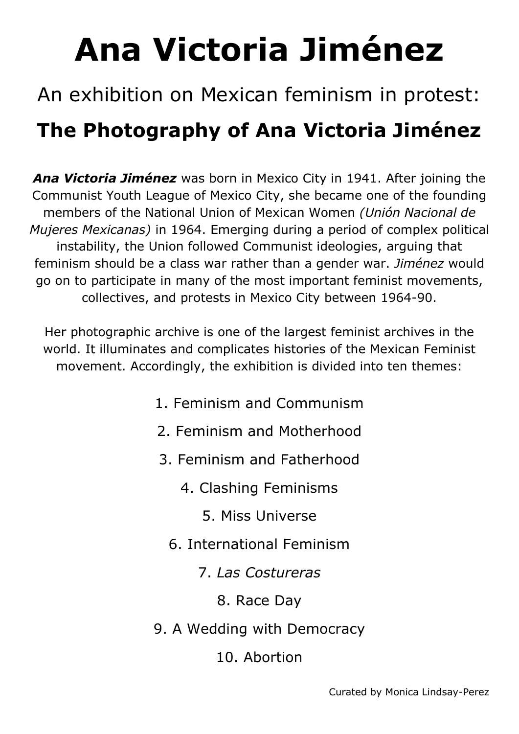## **Ana Victoria Jiménez**

## An exhibition on Mexican feminism in protest: **The Photography of Ana Victoria Jiménez**

*Ana Victoria Jiménez* was born in Mexico City in 1941. After joining the Communist Youth League of Mexico City, she became one of the founding members of the National Union of Mexican Women *(Unión Nacional de Mujeres Mexicanas)* in 1964. Emerging during a period of complex political instability, the Union followed Communist ideologies, arguing that feminism should be a class war rather than a gender war. *Jiménez* would go on to participate in many of the most important feminist movements, collectives, and protests in Mexico City between 1964-90.

Her photographic archive is one of the largest feminist archives in the world. It illuminates and complicates histories of the Mexican Feminist movement. Accordingly, the exhibition is divided into ten themes:

- 1. Feminism and Communism
- 2. Feminism and Motherhood
- 3. Feminism and Fatherhood
	- 4. Clashing Feminisms
		- 5. Miss Universe
	- 6. International Feminism
		- 7. *Las Costureras*
			- 8. Race Day
- 9. A Wedding with Democracy
	- 10. Abortion